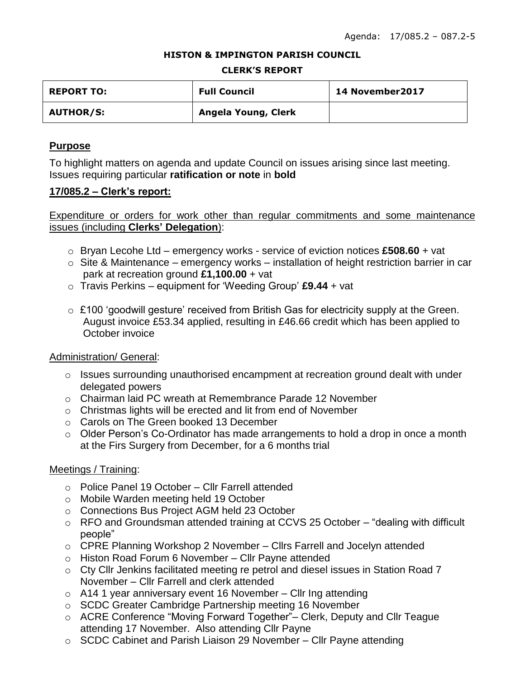#### **HISTON & IMPINGTON PARISH COUNCIL**

#### **CLERK'S REPORT**

| <b>REPORT TO:</b> | <b>Full Council</b> | 14 November 2017 |
|-------------------|---------------------|------------------|
| <b>AUTHOR/S:</b>  | Angela Young, Clerk |                  |

## **Purpose**

To highlight matters on agenda and update Council on issues arising since last meeting. Issues requiring particular **ratification or note** in **bold**

## **17/085.2 – Clerk's report:**

Expenditure or orders for work other than regular commitments and some maintenance issues (including **Clerks' Delegation**):

- o Bryan Lecohe Ltd emergency works service of eviction notices **£508.60** + vat
- $\circ$  Site & Maintenance emergency works installation of height restriction barrier in car park at recreation ground **£1,100.00** + vat
- o Travis Perkins equipment for 'Weeding Group' **£9.44** + vat
- $\circ$  £100 'goodwill gesture' received from British Gas for electricity supply at the Green. August invoice £53.34 applied, resulting in £46.66 credit which has been applied to October invoice

## Administration/ General:

- $\circ$  Issues surrounding unauthorised encampment at recreation ground dealt with under delegated powers
- o Chairman laid PC wreath at Remembrance Parade 12 November
- o Christmas lights will be erected and lit from end of November
- o Carols on The Green booked 13 December
- o Older Person's Co-Ordinator has made arrangements to hold a drop in once a month at the Firs Surgery from December, for a 6 months trial

## Meetings / Training:

- o Police Panel 19 October Cllr Farrell attended
- o Mobile Warden meeting held 19 October
- o Connections Bus Project AGM held 23 October
- o RFO and Groundsman attended training at CCVS 25 October "dealing with difficult people"
- o CPRE Planning Workshop 2 November Cllrs Farrell and Jocelyn attended
- o Histon Road Forum 6 November Cllr Payne attended
- o Cty Cllr Jenkins facilitated meeting re petrol and diesel issues in Station Road 7 November – Cllr Farrell and clerk attended
- $\circ$  A14 1 year anniversary event 16 November Cllr Ing attending
- o SCDC Greater Cambridge Partnership meeting 16 November
- o ACRE Conference "Moving Forward Together"– Clerk, Deputy and Cllr Teague attending 17 November. Also attending Cllr Payne
- $\circ$  SCDC Cabinet and Parish Liaison 29 November Cllr Payne attending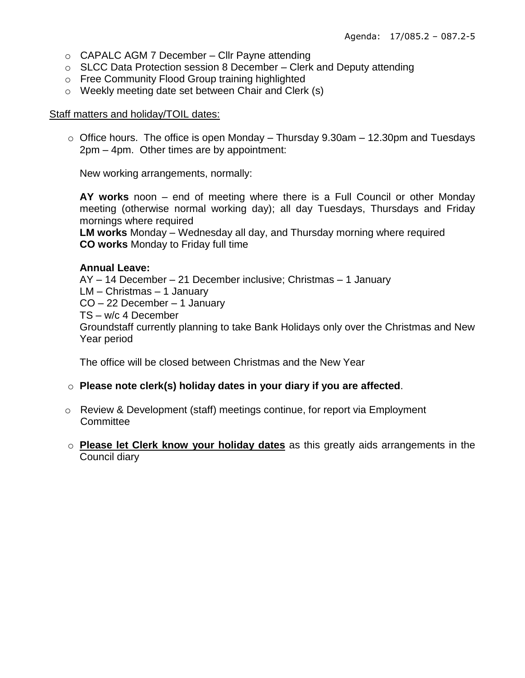- o CAPALC AGM 7 December Cllr Payne attending
- $\circ$  SLCC Data Protection session 8 December Clerk and Deputy attending
- o Free Community Flood Group training highlighted
- o Weekly meeting date set between Chair and Clerk (s)

### Staff matters and holiday/TOIL dates:

 $\circ$  Office hours. The office is open Monday – Thursday 9.30am – 12.30pm and Tuesdays 2pm – 4pm. Other times are by appointment:

New working arrangements, normally:

**AY works** noon – end of meeting where there is a Full Council or other Monday meeting (otherwise normal working day); all day Tuesdays, Thursdays and Friday mornings where required

**LM works** Monday – Wednesday all day, and Thursday morning where required **CO works** Monday to Friday full time

### **Annual Leave:**

AY – 14 December – 21 December inclusive; Christmas – 1 January

LM – Christmas – 1 January

CO – 22 December – 1 January

TS – w/c 4 December

Groundstaff currently planning to take Bank Holidays only over the Christmas and New Year period

The office will be closed between Christmas and the New Year

## o **Please note clerk(s) holiday dates in your diary if you are affected**.

- o Review & Development (staff) meetings continue, for report via Employment **Committee**
- o **Please let Clerk know your holiday dates** as this greatly aids arrangements in the Council diary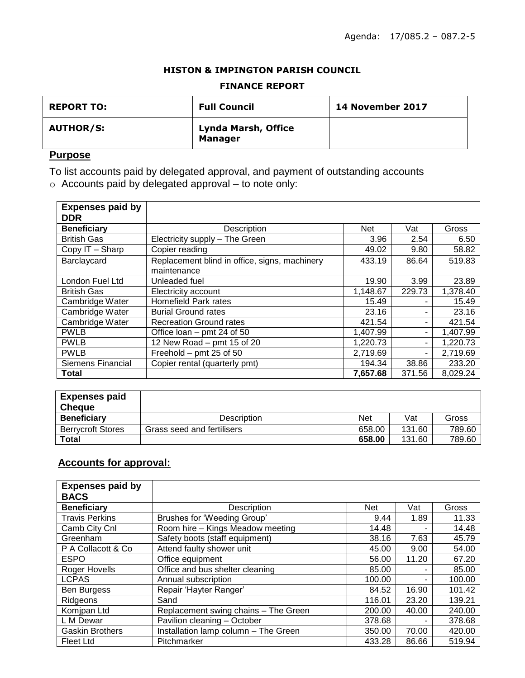#### **HISTON & IMPINGTON PARISH COUNCIL**

#### **FINANCE REPORT**

| <b>REPORT TO:</b> | <b>Full Council</b>                   | <b>14 November 2017</b> |
|-------------------|---------------------------------------|-------------------------|
| <b>AUTHOR/S:</b>  | Lynda Marsh, Office<br><b>Manager</b> |                         |

# **Purpose**

To list accounts paid by delegated approval, and payment of outstanding accounts o Accounts paid by delegated approval – to note only:

| <b>Expenses paid by</b>  |                                               |          |        |          |
|--------------------------|-----------------------------------------------|----------|--------|----------|
| <b>DDR</b>               |                                               |          |        |          |
| <b>Beneficiary</b>       | Description                                   | Net      | Vat    | Gross    |
| <b>British Gas</b>       | Electricity supply - The Green                | 3.96     | 2.54   | 6.50     |
| Copy IT - Sharp          | Copier reading                                | 49.02    | 9.80   | 58.82    |
| Barclaycard              | Replacement blind in office, signs, machinery | 433.19   | 86.64  | 519.83   |
|                          | maintenance                                   |          |        |          |
| London Fuel Ltd          | Unleaded fuel                                 | 19.90    | 3.99   | 23.89    |
| <b>British Gas</b>       | Electricity account                           | 1,148.67 | 229.73 | 1,378.40 |
| Cambridge Water          | Homefield Park rates                          | 15.49    |        | 15.49    |
| Cambridge Water          | <b>Burial Ground rates</b>                    | 23.16    |        | 23.16    |
| Cambridge Water          | <b>Recreation Ground rates</b>                | 421.54   | ۰      | 421.54   |
| <b>PWLB</b>              | Office loan $-$ pmt 24 of 50                  | 1,407.99 | ۰      | 1,407.99 |
| <b>PWLB</b>              | 12 New Road - pmt 15 of 20                    | 1,220.73 | ٠      | 1,220.73 |
| <b>PWLB</b>              | Freehold - pmt 25 of 50                       | 2,719.69 | ٠.     | 2,719.69 |
| <b>Siemens Financial</b> | Copier rental (quarterly pmt)                 | 194.34   | 38.86  | 233.20   |
| <b>Total</b>             |                                               | 7,657.68 | 371.56 | 8,029.24 |

| <b>Expenses paid</b>     |                            |        |        |        |
|--------------------------|----------------------------|--------|--------|--------|
| <b>Cheque</b>            |                            |        |        |        |
| <b>Beneficiary</b>       | <b>Description</b>         | Net    | Vat    | Gross  |
| <b>Berrvcroft Stores</b> | Grass seed and fertilisers | 658.00 | 131.60 | 789.60 |
| Total                    |                            | 658.00 | 131.60 | 789.60 |

# **Accounts for approval:**

| <b>Expenses paid by</b> |                                      |        |       |        |
|-------------------------|--------------------------------------|--------|-------|--------|
| <b>BACS</b>             |                                      |        |       |        |
| <b>Beneficiary</b>      | Description                          | Net    | Vat   | Gross  |
| <b>Travis Perkins</b>   | Brushes for 'Weeding Group'          | 9.44   | 1.89  | 11.33  |
| Camb City Cnl           | Room hire - Kings Meadow meeting     | 14.48  | ۰     | 14.48  |
| Greenham                | Safety boots (staff equipment)       | 38.16  | 7.63  | 45.79  |
| P A Collacott & Co      | Attend faulty shower unit            | 45.00  | 9.00  | 54.00  |
| <b>ESPO</b>             | Office equipment                     | 56.00  | 11.20 | 67.20  |
| Roger Hovells           | Office and bus shelter cleaning      | 85.00  | -     | 85.00  |
| <b>LCPAS</b>            | Annual subscription                  | 100.00 | -     | 100.00 |
| <b>Ben Burgess</b>      | Repair 'Hayter Ranger'               | 84.52  | 16.90 | 101.42 |
| Ridgeons                | Sand                                 | 116.01 | 23.20 | 139.21 |
| Komipan Ltd             | Replacement swing chains - The Green | 200.00 | 40.00 | 240.00 |
| L M Dewar               | Pavilion cleaning - October          | 378.68 | ۰     | 378.68 |
| <b>Gaskin Brothers</b>  | Installation lamp column - The Green | 350.00 | 70.00 | 420.00 |
| Fleet Ltd               | Pitchmarker                          | 433.28 | 86.66 | 519.94 |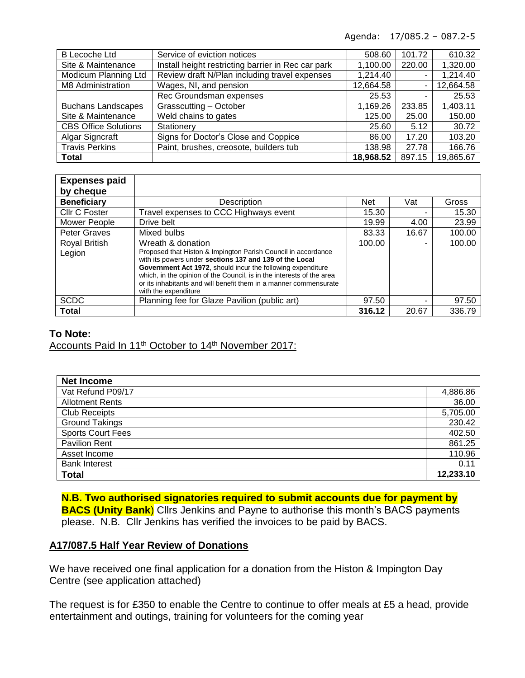Agenda: 17/085.2 – 087.2-5

| <b>B</b> Lecoche Ltd        | Service of eviction notices                        | 508.60    | 101.72 | 610.32    |
|-----------------------------|----------------------------------------------------|-----------|--------|-----------|
| Site & Maintenance          | Install height restricting barrier in Rec car park | 1,100.00  | 220.00 | 1,320.00  |
| Modicum Planning Ltd        | Review draft N/Plan including travel expenses      | 1,214.40  |        | 1,214.40  |
| M8 Administration           | Wages, NI, and pension                             | 12,664.58 |        | 12,664.58 |
|                             | Rec Groundsman expenses                            | 25.53     |        | 25.53     |
| <b>Buchans Landscapes</b>   | Grasscutting - October                             | 1,169.26  | 233.85 | 1,403.11  |
| Site & Maintenance          | Weld chains to gates                               | 125.00    | 25.00  | 150.00    |
| <b>CBS Office Solutions</b> | Stationery                                         | 25.60     | 5.12   | 30.72     |
| Algar Signcraft             | Signs for Doctor's Close and Coppice               | 86.00     | 17.20  | 103.20    |
| <b>Travis Perkins</b>       | Paint, brushes, creosote, builders tub             | 138.98    | 27.78  | 166.76    |
| <b>Total</b>                |                                                    | 18,968.52 | 897.15 | 19,865.67 |

| <b>Expenses paid</b><br>by cheque |                                                                                                                                                                                                                                                                                                                                                                                    |            |       |        |
|-----------------------------------|------------------------------------------------------------------------------------------------------------------------------------------------------------------------------------------------------------------------------------------------------------------------------------------------------------------------------------------------------------------------------------|------------|-------|--------|
| <b>Beneficiary</b>                | Description                                                                                                                                                                                                                                                                                                                                                                        | <b>Net</b> | Vat   | Gross  |
| Cllr C Foster                     | Travel expenses to CCC Highways event                                                                                                                                                                                                                                                                                                                                              | 15.30      |       | 15.30  |
| Mower People                      | Drive belt                                                                                                                                                                                                                                                                                                                                                                         | 19.99      | 4.00  | 23.99  |
| <b>Peter Graves</b>               | Mixed bulbs                                                                                                                                                                                                                                                                                                                                                                        | 83.33      | 16.67 | 100.00 |
| Royal British<br>Legion           | Wreath & donation<br>Proposed that Histon & Impington Parish Council in accordance<br>with its powers under sections 137 and 139 of the Local<br>Government Act 1972, should incur the following expenditure<br>which, in the opinion of the Council, is in the interests of the area<br>or its inhabitants and will benefit them in a manner commensurate<br>with the expenditure | 100.00     |       | 100.00 |
| <b>SCDC</b>                       | Planning fee for Glaze Pavilion (public art)                                                                                                                                                                                                                                                                                                                                       | 97.50      |       | 97.50  |
| <b>Total</b>                      |                                                                                                                                                                                                                                                                                                                                                                                    | 316.12     | 20.67 | 336.79 |

### **To Note:**

Accounts Paid In 11<sup>th</sup> October to 14<sup>th</sup> November 2017:

| <b>Net Income</b>        |           |
|--------------------------|-----------|
| Vat Refund P09/17        | 4,886.86  |
| <b>Allotment Rents</b>   | 36.00     |
| <b>Club Receipts</b>     | 5,705.00  |
| <b>Ground Takings</b>    | 230.42    |
| <b>Sports Court Fees</b> | 402.50    |
| <b>Pavilion Rent</b>     | 861.25    |
| Asset Income             | 110.96    |
| <b>Bank Interest</b>     | 0.11      |
| <b>Total</b>             | 12,233.10 |

**N.B. Two authorised signatories required to submit accounts due for payment by BACS (Unity Bank**) Cllrs Jenkins and Payne to authorise this month's BACS payments please. N.B*.* Cllr Jenkins has verified the invoices to be paid by BACS.

### **A17/087.5 Half Year Review of Donations**

We have received one final application for a donation from the Histon & Impington Day Centre (see application attached)

The request is for £350 to enable the Centre to continue to offer meals at £5 a head, provide entertainment and outings, training for volunteers for the coming year